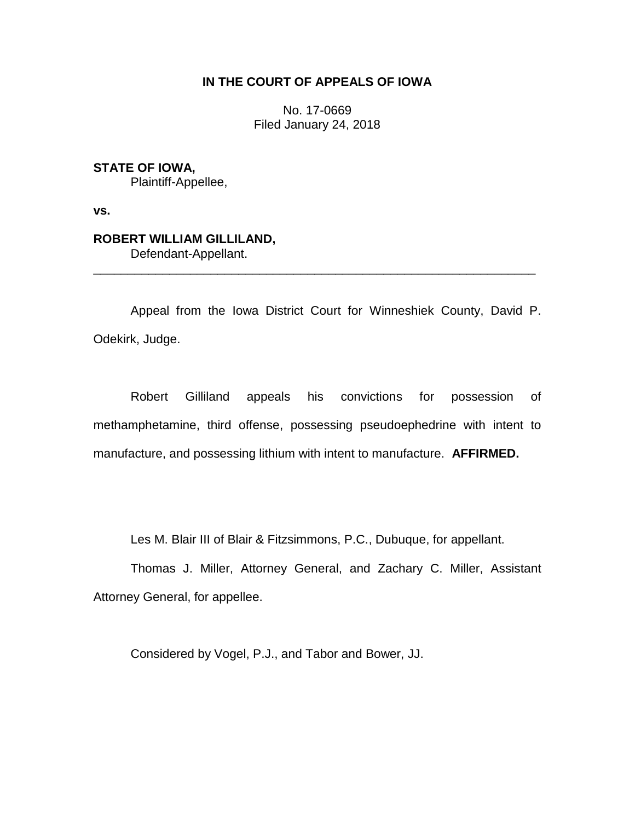## **IN THE COURT OF APPEALS OF IOWA**

No. 17-0669 Filed January 24, 2018

**STATE OF IOWA,** Plaintiff-Appellee,

**vs.**

# **ROBERT WILLIAM GILLILAND,**

Defendant-Appellant.

Appeal from the Iowa District Court for Winneshiek County, David P. Odekirk, Judge.

\_\_\_\_\_\_\_\_\_\_\_\_\_\_\_\_\_\_\_\_\_\_\_\_\_\_\_\_\_\_\_\_\_\_\_\_\_\_\_\_\_\_\_\_\_\_\_\_\_\_\_\_\_\_\_\_\_\_\_\_\_\_\_\_

Robert Gilliland appeals his convictions for possession of methamphetamine, third offense, possessing pseudoephedrine with intent to manufacture, and possessing lithium with intent to manufacture. **AFFIRMED.** 

Les M. Blair III of Blair & Fitzsimmons, P.C., Dubuque, for appellant.

Thomas J. Miller, Attorney General, and Zachary C. Miller, Assistant Attorney General, for appellee.

Considered by Vogel, P.J., and Tabor and Bower, JJ.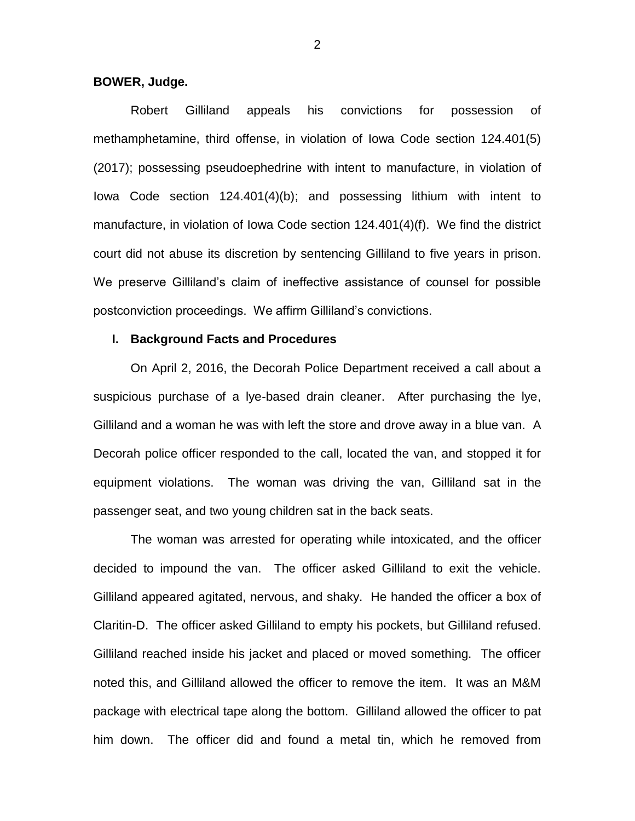## **BOWER, Judge.**

Robert Gilliland appeals his convictions for possession of methamphetamine, third offense, in violation of Iowa Code section 124.401(5) (2017); possessing pseudoephedrine with intent to manufacture, in violation of Iowa Code section 124.401(4)(b); and possessing lithium with intent to manufacture, in violation of Iowa Code section 124.401(4)(f). We find the district court did not abuse its discretion by sentencing Gilliland to five years in prison. We preserve Gilliland's claim of ineffective assistance of counsel for possible postconviction proceedings. We affirm Gilliland's convictions.

## **I. Background Facts and Procedures**

On April 2, 2016, the Decorah Police Department received a call about a suspicious purchase of a lye-based drain cleaner. After purchasing the lye, Gilliland and a woman he was with left the store and drove away in a blue van. A Decorah police officer responded to the call, located the van, and stopped it for equipment violations. The woman was driving the van, Gilliland sat in the passenger seat, and two young children sat in the back seats.

The woman was arrested for operating while intoxicated, and the officer decided to impound the van. The officer asked Gilliland to exit the vehicle. Gilliland appeared agitated, nervous, and shaky. He handed the officer a box of Claritin-D. The officer asked Gilliland to empty his pockets, but Gilliland refused. Gilliland reached inside his jacket and placed or moved something. The officer noted this, and Gilliland allowed the officer to remove the item. It was an M&M package with electrical tape along the bottom. Gilliland allowed the officer to pat him down. The officer did and found a metal tin, which he removed from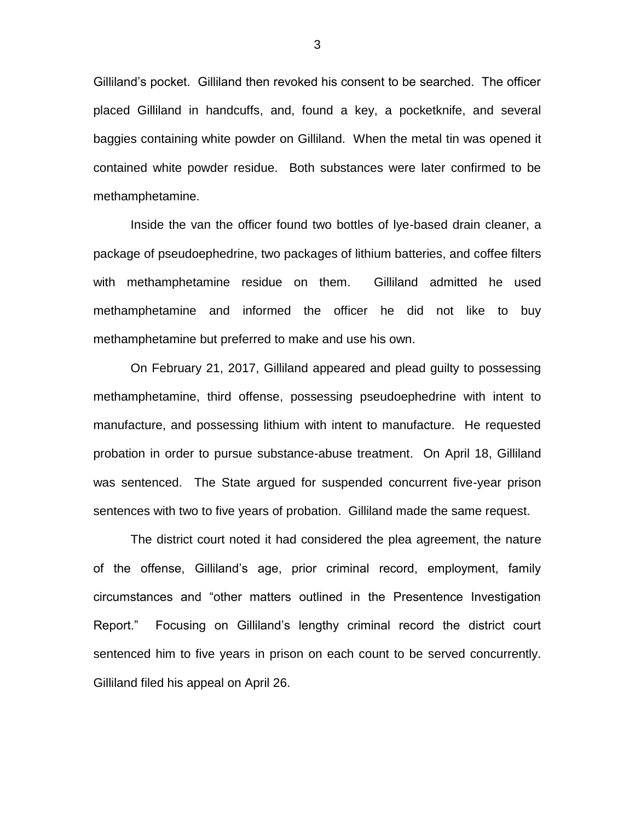Gilliland's pocket. Gilliland then revoked his consent to be searched. The officer placed Gilliland in handcuffs, and, found a key, a pocketknife, and several baggies containing white powder on Gilliland. When the metal tin was opened it contained white powder residue. Both substances were later confirmed to be methamphetamine.

Inside the van the officer found two bottles of lye-based drain cleaner, a package of pseudoephedrine, two packages of lithium batteries, and coffee filters with methamphetamine residue on them. Gilliland admitted he used methamphetamine and informed the officer he did not like to buy methamphetamine but preferred to make and use his own.

On February 21, 2017, Gilliland appeared and plead guilty to possessing methamphetamine, third offense, possessing pseudoephedrine with intent to manufacture, and possessing lithium with intent to manufacture. He requested probation in order to pursue substance-abuse treatment. On April 18, Gilliland was sentenced. The State argued for suspended concurrent five-year prison sentences with two to five years of probation. Gilliland made the same request.

The district court noted it had considered the plea agreement, the nature of the offense, Gilliland's age, prior criminal record, employment, family circumstances and "other matters outlined in the Presentence Investigation Report." Focusing on Gilliland's lengthy criminal record the district court sentenced him to five years in prison on each count to be served concurrently. Gilliland filed his appeal on April 26.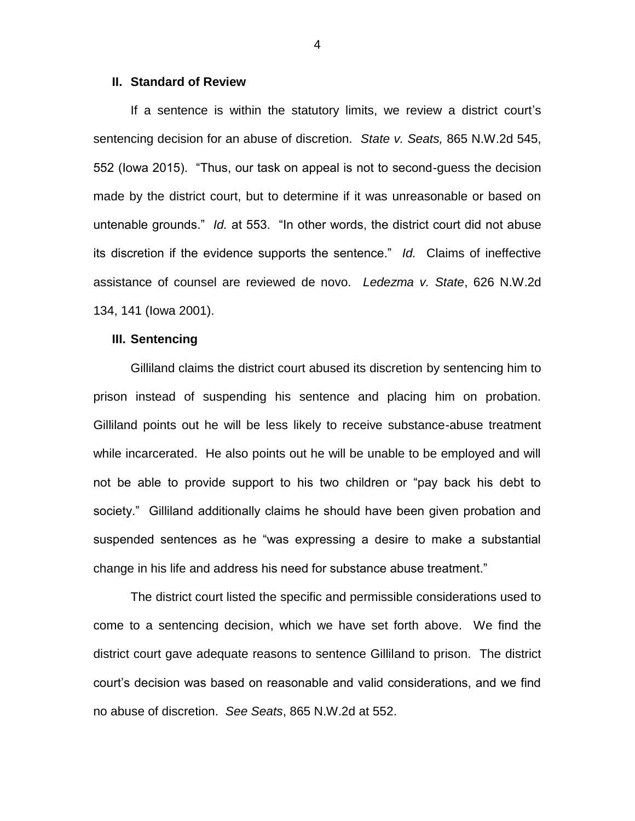## **II. Standard of Review**

If a sentence is within the statutory limits, we review a district court's sentencing decision for an abuse of discretion. *State v. Seats,* 865 N.W.2d 545, 552 (Iowa 2015). "Thus, our task on appeal is not to second-guess the decision made by the district court, but to determine if it was unreasonable or based on untenable grounds." *Id.* at 553. "In other words, the district court did not abuse its discretion if the evidence supports the sentence." *Id.* Claims of ineffective assistance of counsel are reviewed de novo. *Ledezma v. State*, 626 N.W.2d 134, 141 (Iowa 2001).

#### **III. Sentencing**

Gilliland claims the district court abused its discretion by sentencing him to prison instead of suspending his sentence and placing him on probation. Gilliland points out he will be less likely to receive substance-abuse treatment while incarcerated. He also points out he will be unable to be employed and will not be able to provide support to his two children or "pay back his debt to society." Gilliland additionally claims he should have been given probation and suspended sentences as he "was expressing a desire to make a substantial change in his life and address his need for substance abuse treatment."

The district court listed the specific and permissible considerations used to come to a sentencing decision, which we have set forth above. We find the district court gave adequate reasons to sentence Gilliland to prison. The district court's decision was based on reasonable and valid considerations, and we find no abuse of discretion. *See Seats*, 865 N.W.2d at 552.